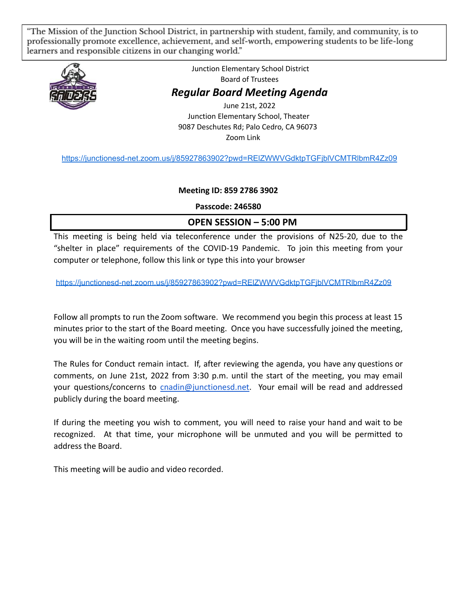The Mission of the Junction School District, in partnership with student, family, and community, is to " professionally promote excellence, achievement, and self-worth, empowering students to be life-long learners and responsible citizens in our changing world."



Junction Elementary School District Board of Trustees *Regular Board Meeting Agenda* June 21st, 2022 Junction Elementary School, Theater 9087 Deschutes Rd; Palo Cedro, CA 96073 Zoom Link

<https://junctionesd-net.zoom.us/j/85927863902?pwd=RElZWWVGdktpTGFjblVCMTRlbmR4Zz09>

#### **Meeting ID: 859 2786 3902**

**Passcode: 246580**

# **OPEN SESSION – 5:00 PM**

This meeting is being held via teleconference under the provisions of N25-20, due to the "shelter in place" requirements of the COVID-19 Pandemic. To join this meeting from your computer or telephone, follow this link or type this into your browser

<https://junctionesd-net.zoom.us/j/85927863902?pwd=RElZWWVGdktpTGFjblVCMTRlbmR4Zz09>

Follow all prompts to run the Zoom software. We recommend you begin this process at least 15 minutes prior to the start of the Board meeting. Once you have successfully joined the meeting, you will be in the waiting room until the meeting begins.

The Rules for Conduct remain intact. If, after reviewing the agenda, you have any questions or comments, on June 21st, 2022 from 3:30 p.m. until the start of the meeting, you may email your questions/concerns to [cnadin@junctionesd.net](mailto:cnadin@junctionesd.net). Your email will be read and addressed publicly during the board meeting.

If during the meeting you wish to comment, you will need to raise your hand and wait to be recognized. At that time, your microphone will be unmuted and you will be permitted to address the Board.

This meeting will be audio and video recorded.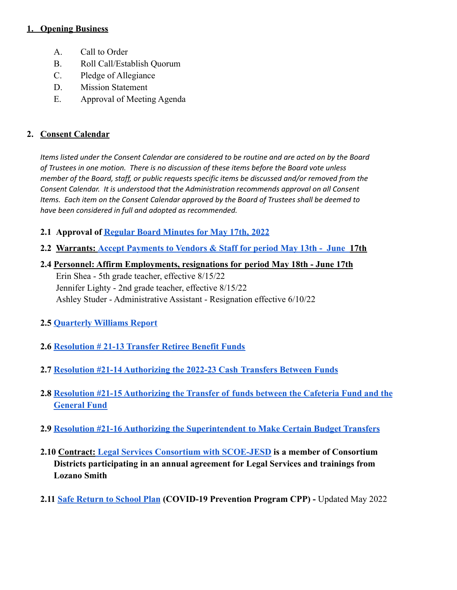### **1. Opening Business**

- A. Call to Order
- B. Roll Call/Establish Quorum
- C. Pledge of Allegiance
- D. Mission Statement
- E. Approval of Meeting Agenda

## **2. Consent Calendar**

*Items listed under the Consent Calendar are considered to be routine and are acted on by the Board of Trustees in one motion. There is no discussion of these items before the Board vote unless member of the Board, staff, or public requests specific items be discussed and/or removed from the Consent Calendar. It is understood that the Administration recommends approval on all Consent Items. Each item on the Consent Calendar approved by the Board of Trustees shall be deemed to have been considered in full and adopted as recommended.*

- **2.1 Approval of [Regular Board Minutes for May 17th,](https://docs.google.com/document/d/1QNk94LNcYGGyStliyE21M0w5XCfMRhSQB2BM-izQjuU/edit?usp=sharing) 2022**
- **2.2 Warrants: [Accept Payments to Vendors & Staff](https://drive.google.com/file/d/1BALrBgW4UpNcQg3TkJzuY3i0LPWhr18Z/view?usp=sharing) for period May 13th June 17th**

## **2.4 Personnel: Affirm Employments, resignations for period May 18th - June 17th**

Erin Shea - 5th grade teacher, effective 8/15/22 Jennifer Lighty - 2nd grade teacher, effective 8/15/22 Ashley Studer - Administrative Assistant - Resignation effective 6/10/22

- **2.5 [Quarterly Williams Report](https://drive.google.com/file/d/1-DPEizV_KLX79QRw7f_h3GNLPJ64K8HU/view?usp=sharing)**
- **2.6 [Resolution # 21-13 Transfer Retiree Benefit Funds](https://drive.google.com/file/d/15Ib843pUt6uYXnz8SosaVPKTklljwhMi/view?usp=sharing)**
- **2.7 [Resolution #21-14 Authorizing the 2022-23 Cash](https://docs.google.com/document/d/1zVD0cFF-ymkkwwW8U83thHi9ZQuSirUMV2QEnblnME0/edit?usp=sharing) Transfers Between Funds**
- **2.8 [Resolution #21-15 Authorizing the Transfer of](https://docs.google.com/document/d/1JKSowvkKzMJz68NaKD6xcmaGc9qq_yKrohbALcHGNdU/edit?usp=sharing) funds between the Cafeteria Fund and the [General Fund](https://docs.google.com/document/d/1JKSowvkKzMJz68NaKD6xcmaGc9qq_yKrohbALcHGNdU/edit?usp=sharing)**
- **2.9 [Resolution #21-16 Authorizing the Superintendent](https://docs.google.com/document/d/1Ps6Q04Sr8panqKl98WY92e5F7PV_Wqx7t_I4aawlnhg/edit?usp=sharing) to Make Certain Budget Transfers**
- **2.10 Contract: [Legal Services Consortium with SCOE-JESD](https://drive.google.com/file/d/1T5XNZzLqsKHmG6lZuP_c8QFbZFwUXFdU/view?usp=sharing) is a member of Consortium Districts participating in an annual agreement for Legal Services and trainings from Lozano Smith**
- **2.11 [Safe Return to School Plan](https://drive.google.com/file/d/1vZoYrSV5mUaVCYaJIvD1JhtoVhalmdrC/view?usp=sharing) (COVID-19 Prevention Program CPP) -** Updated May 2022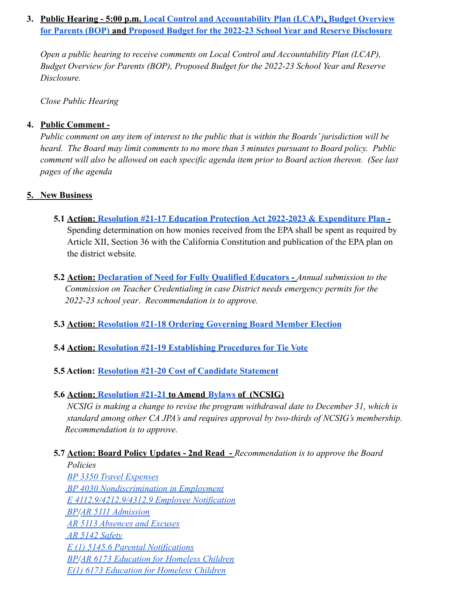## **3. Public Hearing - 5:00 p.m. [Local Control and Accountability Plan \(LCAP\)](https://drive.google.com/file/d/1Kb2xJD6eouRGSx3P10hdwCtEgB964vWb/view?usp=sharing), [Budget Overview](https://drive.google.com/file/d/1J0YNYzN0MKvAOcEZdvLmkpM3YejW1p_f/view?usp=sharing) [for Parents \(BOP\)](https://drive.google.com/file/d/1J0YNYzN0MKvAOcEZdvLmkpM3YejW1p_f/view?usp=sharing) and Proposed Budget for the 2022-23 [School Year and Reserve Disclosure](https://drive.google.com/file/d/1IYRjHYDQZfGGzHppPt2UqC9vj8Hb-jjq/view?usp=sharing)**

*Open a public hearing to receive comments on Local Control and Accountability Plan (LCAP), Budget Overview for Parents (BOP), Proposed Budget for the 2022-23 School Year and Reserve Disclosure.*

*Close Public Hearing*

## **4. Public Comment -**

*Public comment on any item of interest to the public that is within the Boards' jurisdiction will be heard. The Board may limit comments to no more than 3 minutes pursuant to Board policy. Public comment will also be allowed on each specific agenda item prior to Board action thereon. (See last pages of the agenda*

## **5. New Business**

- **5.1 Action: [Resolution #21-17 Education Protection](https://drive.google.com/file/d/1NWbpqfQ-Fli2gW00yRuUpCuW-6K5Vpws/view?usp=sharing) Act 2022-2023 & Expenditure Plan -** Spending determination on how monies received from the EPA shall be spent as required by Article XII, Section 36 with the California Constitution and publication of the EPA plan on the district website*.*
- **5.2 Action: [Declaration of Need for Fully Qualified](https://drive.google.com/file/d/1PvkFbvr78aaBPOdbTqP__VQU-Gp_yFzp/view?usp=sharing) Educators -** *Annual submission to the Commission on Teacher Credentialing in case District needs emergency permits for the 2022-23 school year*. *Recommendation is to approve.*
- **5.3 Action: [Resolution #21-18 Ordering Governing Board](https://docs.google.com/document/d/1mrEQjMH0Yjv04mPPgRUs8Yo6Da34d3qefundZI3-ATA/edit?usp=sharing) Member Election**
- **5.4 Action: [Resolution #21-19 Establishing Procedures](https://docs.google.com/document/d/1pDIl5tDhySzcXdc87Oa5WcQ8ANTwbu7AKnbxnc7-xso/edit?usp=sharing) for Tie Vote**
- **5.5 Action: [Resolution #21-20 Cost of Candidate Statement](https://docs.google.com/document/d/1E2omK4dP2OuXy9axC577RDU9cYKwtVttJAzRk7RyA9A/edit?usp=sharing)**
- **5.6 Action: [Resolution #21-21](https://docs.google.com/document/d/1wZFw_MVcceViLAvk4mn2FTwirFT-COm-/edit?usp=sharing&ouid=109948329975750199122&rtpof=true&sd=true) to Amend [Bylaws](https://drive.google.com/file/d/1BfgdBxZ7JcQ4MuuhAV-To2jWp9C5NA4O/view?usp=sharing) of (NCSIG)**

*NCSIG is making a change to revise the program withdrawal date to December 31, which is standard among other CA JPA's and requires approval by two-thirds of NCSIG's membership. Recommendation is to approve.*

## **5.7 Action: Board Policy Updates - 2nd Read -** *Recommendation is to approve the Board*

*Policies [BP 3350 Travel Expenses](https://docs.google.com/document/d/14gcyYi2A-KFfk7LzLnwQwH17Cf9-U2UD/edit?usp=sharing&ouid=109948329975750199122&rtpof=true&sd=true) [BP 4030 Nondiscrimination in Employment](https://docs.google.com/document/d/1UD3Z4KgcFSvAYbcqCwoC0165TCeq2j5I/edit?usp=sharing&ouid=109948329975750199122&rtpof=true&sd=true) [E 4112.9/4212.9/4312.9 Employee Notification](https://docs.google.com/document/d/1uip8LjbXG4H0Q6rYM43E-oZjdBHR-6dF/edit?usp=sharing&ouid=109948329975750199122&rtpof=true&sd=true) [BP/](https://docs.google.com/document/d/1bP7FQu7AW2Tpz0PW3a6DczMF6Aw-gfcH/edit?usp=sharing&ouid=109948329975750199122&rtpof=true&sd=true)[AR 5111 Admission](https://docs.google.com/document/d/1eL56LNfDjHiUuizYp3hqx6Kl65qWLb1o/edit?usp=sharing&ouid=109948329975750199122&rtpof=true&sd=true) [AR 5113 Absences and Excuses](https://docs.google.com/document/d/1WdI5GkRokSOEe_6mW8MFqXgK_S3oa4Th/edit?usp=sharing&ouid=109948329975750199122&rtpof=true&sd=true) [AR 5142 Safety](https://docs.google.com/document/d/1MlbEbkUkzb65ps2yABlgWo58FVOoKiRx/edit?usp=sharing&ouid=109948329975750199122&rtpof=true&sd=true) [E \(1\) 5145.6 Parental Notifications](https://docs.google.com/document/d/13Gige3R6U4H6q8lRk4tbImDjt19qlzDh/edit?usp=sharing&ouid=109948329975750199122&rtpof=true&sd=true) [BP/](https://docs.google.com/document/d/1oo9KSigQjAxgEAJVzcL42RHP_a_Jv2n3/edit?usp=sharing&ouid=109948329975750199122&rtpof=true&sd=true)[AR 6173 Education for Homeless Children](https://docs.google.com/document/d/1Lcrd5SdL9FDhhhass_4XseRdrHsLWqJj/edit?usp=sharing&ouid=109948329975750199122&rtpof=true&sd=true) [E\(1\) 6173 Education for Homeless Children](https://docs.google.com/document/d/1aDSp4sKap-ruNRyPkSYWRtJU0PMIJUcc/edit?usp=sharing&ouid=109948329975750199122&rtpof=true&sd=true)*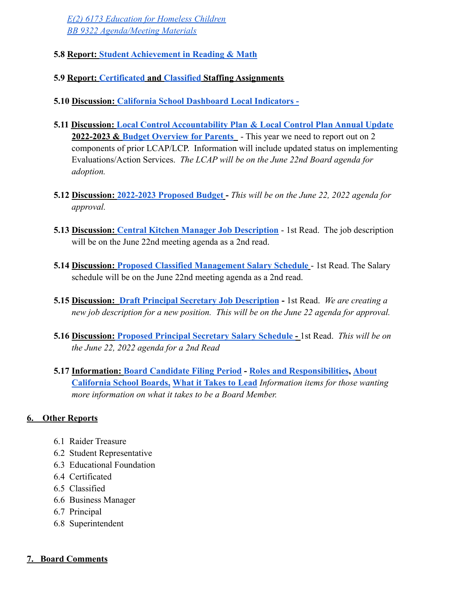*[E\(2\) 6173 Education for Homeless Children](https://docs.google.com/document/d/193P5kkPToU2qYTM9GfkgNbpHCntOliPY/edit?usp=sharing&ouid=109948329975750199122&rtpof=true&sd=true) [BB 9322 Agenda/Meeting Materials](https://docs.google.com/document/d/1xHrbIZVSpYJrjBOwRtPr7ii1VMxcNO74/edit?usp=sharing&ouid=109948329975750199122&rtpof=true&sd=true)*

- **5.8 Report: [Student Achievement in Reading & Math](https://drive.google.com/file/d/18Q3_nkUnevUS8V5UIANzSA5Rqym4LFvD/view?usp=sharing)**
- **5.9 Report: [Certificated](https://drive.google.com/file/d/1unkuwwMaO4UMtabvmH11oRq6geXCoLKF/view?usp=sharing) and [Classified](https://drive.google.com/file/d/1zXk8tm0gnxLTQU6oahWWKsDA-3gZ_Ou4/view?usp=sharing) Staffing Assignments**
- **5.10 Discussion: [California School Dashboard Local](https://drive.google.com/file/d/1PnCTcwlTeC2ZjO9g6t2Hz5uyODw-_i7H/view?usp=sharing) Indicators -**
- **5.11 Discussion: Local Control Accountability Plan [& Local Control Plan Annual Update](https://drive.google.com/file/d/1Kb2xJD6eouRGSx3P10hdwCtEgB964vWb/view?usp=sharing) 2022-2023 & [Budget Overview for Parents](https://drive.google.com/file/d/1J0YNYzN0MKvAOcEZdvLmkpM3YejW1p_f/view?usp=sharing)** - This year we need to report out on 2 components of prior LCAP/LCP. Information will include updated status on implementing Evaluations/Action Services. *The LCAP will be on the June 22nd Board agenda for adoption.*
- **5.12 Discussion: [2022-2023 Proposed Budget](https://drive.google.com/file/d/1IYRjHYDQZfGGzHppPt2UqC9vj8Hb-jjq/view?usp=sharing) -** *This will be on the June 22, 2022 agenda for approval.*
- **5.13 Discussion: [Central Kitchen Manager Job Description](https://docs.google.com/document/d/1ihozQoz-Cm7a5Z31_iBbuFAKGYFdxtiXqcxFuoiyFmc/edit?usp=sharing)** 1st Read. The job description will be on the June 22nd meeting agenda as a 2nd read.
- **5.14 Discussion: [Proposed Classified Management Salary](https://drive.google.com/file/d/1dHHCHPFEOhQVsaf5l6wo879UYlqoVJsN/view?usp=sharing) Schedule** 1st Read. The Salary schedule will be on the June 22nd meeting agenda as a 2nd read.
- **5.15 Discussion: [Draft Principal Secretary Job Description](https://docs.google.com/document/d/1ETEoCfEXCOJ8SAhTkNacNo-NBFBC2gKJVF_keF_rm6w/edit?usp=sharing) -** 1st Read. *We are creating a new job description for a new position. This will be on the June 22 agenda for approval.*
- **5.16 Discussion: [Proposed Principal Secretary Salary](https://drive.google.com/file/d/1wwd4pXKwGJrCawl0WK11CUi3D5Qg9hKN/view?usp=sharing) Schedule -** 1st Read. *This will be on the June 22, 2022 agenda for a 2nd Read*
- **5.17 Information: [Board Candidate Filing Period](https://drive.google.com/file/d/1pq9Id7DyhGx7F1aj_ZEhCtxtInOMQ7gU/view?usp=sharing) - [Roles and Responsibilities](https://drive.google.com/file/d/18FVjXVkutyZPkzDdTzacvZY9wvYR5502/view?usp=sharing), [About](https://drive.google.com/file/d/1_7ieDSrkE_ZTX5u-BXf8Yatwg0LVBEWD/view?usp=sharing) [California School Boards,](https://drive.google.com/file/d/1_7ieDSrkE_ZTX5u-BXf8Yatwg0LVBEWD/view?usp=sharing) [What it Takes to](https://drive.google.com/file/d/1YdFqwn5zEfBnwfb6S7DaSHWayWbqr8EY/view?usp=sharing) Lead** *Information items for those wanting more information on what it takes to be a Board Member.*

# **6. Other Reports**

- 6.1 Raider Treasure
- 6.2 Student Representative
- 6.3 Educational Foundation
- 6.4 Certificated
- 6.5 Classified
- 6.6 Business Manager
- 6.7 Principal
- 6.8 Superintendent

## **7. Board Comments**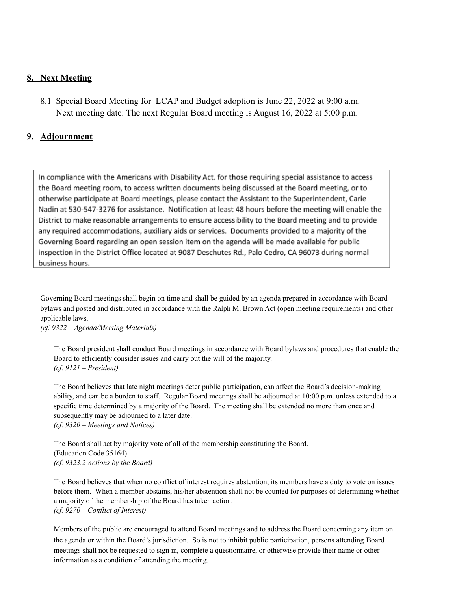#### **8. Next Meeting**

8.1 Special Board Meeting for LCAP and Budget adoption is June 22, 2022 at 9:00 a.m. Next meeting date: The next Regular Board meeting is August 16, 2022 at 5:00 p.m.

#### **9. Adjournment**

In compliance with the Americans with Disability Act. for those requiring special assistance to access the Board meeting room, to access written documents being discussed at the Board meeting, or to otherwise participate at Board meetings, please contact the Assistant to the Superintendent, Carie Nadin at 530-547-3276 for assistance. Notification at least 48 hours before the meeting will enable the District to make reasonable arrangements to ensure accessibility to the Board meeting and to provide any required accommodations, auxiliary aids or services. Documents provided to a majority of the Governing Board regarding an open session item on the agenda will be made available for public inspection in the District Office located at 9087 Deschutes Rd., Palo Cedro, CA 96073 during normal business hours.

Governing Board meetings shall begin on time and shall be guided by an agenda prepared in accordance with Board bylaws and posted and distributed in accordance with the Ralph M. Brown Act (open meeting requirements) and other applicable laws.

*(cf. 9322 – Agenda/Meeting Materials)*

The Board president shall conduct Board meetings in accordance with Board bylaws and procedures that enable the Board to efficiently consider issues and carry out the will of the majority. *(cf. 9121 – President)*

The Board believes that late night meetings deter public participation, can affect the Board's decision-making ability, and can be a burden to staff. Regular Board meetings shall be adjourned at 10:00 p.m. unless extended to a specific time determined by a majority of the Board. The meeting shall be extended no more than once and subsequently may be adjourned to a later date. *(cf. 9320 – Meetings and Notices)*

The Board shall act by majority vote of all of the membership constituting the Board. (Education Code 35164) *(cf. 9323.2 Actions by the Board)*

The Board believes that when no conflict of interest requires abstention, its members have a duty to vote on issues before them. When a member abstains, his/her abstention shall not be counted for purposes of determining whether a majority of the membership of the Board has taken action. *(cf. 9270 – Conflict of Interest)*

Members of the public are encouraged to attend Board meetings and to address the Board concerning any item on the agenda or within the Board's jurisdiction. So is not to inhibit public participation, persons attending Board meetings shall not be requested to sign in, complete a questionnaire, or otherwise provide their name or other information as a condition of attending the meeting.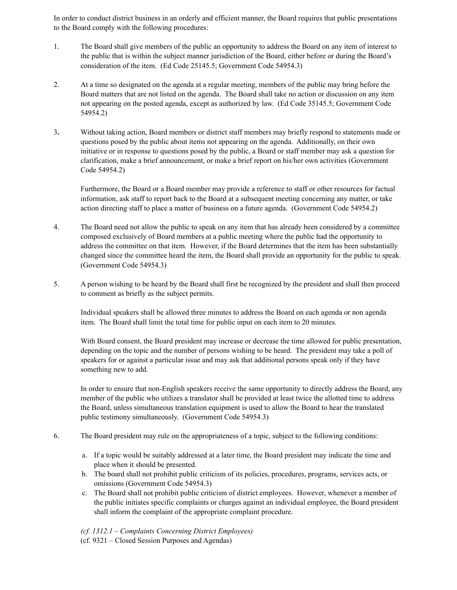In order to conduct district business in an orderly and efficient manner, the Board requires that public presentations to the Board comply with the following procedures:

- 1. The Board shall give members of the public an opportunity to address the Board on any item of interest to the public that is within the subject manner jurisdiction of the Board, either before or during the Board's consideration of the item. (Ed Code 25145.5; Government Code 54954.3)
- 2. At a time so designated on the agenda at a regular meeting, members of the public may bring before the Board matters that are not listed on the agenda. The Board shall take no action or discussion on any item not appearing on the posted agenda, except as authorized by law. (Ed Code 35145.5; Government Code 54954.2)
- 3**.** Without taking action, Board members or district staff members may briefly respond to statements made or questions posed by the public about items not appearing on the agenda. Additionally, on their own initiative or in response to questions posed by the public, a Board or staff member may ask a question for clarification, make a brief announcement, or make a brief report on his/her own activities (Government Code 54954.2)

Furthermore, the Board or a Board member may provide a reference to staff or other resources for factual information, ask staff to report back to the Board at a subsequent meeting concerning any matter, or take action directing staff to place a matter of business on a future agenda. (Government Code 54954.2)

- 4. The Board need not allow the public to speak on any item that has already been considered by a committee composed exclusively of Board members at a public meeting where the public had the opportunity to address the committee on that item. However, if the Board determines that the item has been substantially changed since the committee heard the item, the Board shall provide an opportunity for the public to speak. (Government Code 54954.3)
- 5. A person wishing to be heard by the Board shall first be recognized by the president and shall then proceed to comment as briefly as the subject permits.

Individual speakers shall be allowed three minutes to address the Board on each agenda or non agenda item. The Board shall limit the total time for public input on each item to 20 minutes.

With Board consent, the Board president may increase or decrease the time allowed for public presentation, depending on the topic and the number of persons wishing to be heard. The president may take a poll of speakers for or against a particular issue and may ask that additional persons speak only if they have something new to add.

In order to ensure that non-English speakers receive the same opportunity to directly address the Board, any member of the public who utilizes a translator shall be provided at least twice the allotted time to address the Board, unless simultaneous translation equipment is used to allow the Board to hear the translated public testimony simultaneously. (Government Code 54954.3)

- 6. The Board president may rule on the appropriateness of a topic, subject to the following conditions:
	- a. If a topic would be suitably addressed at a later time, the Board president may indicate the time and place when it should be presented.
	- b. The board shall not prohibit public criticism of its policies, procedures, programs, services acts, or omissions (Government Code 54954.3)
	- c. The Board shall not prohibit public criticism of district employees. However, whenever a member of the public initiates specific complaints or charges against an individual employee, the Board president shall inform the complaint of the appropriate complaint procedure.

*(cf. 1312.1 – Complaints Concerning District Employees)*

(cf. 9321 – Closed Session Purposes and Agendas)